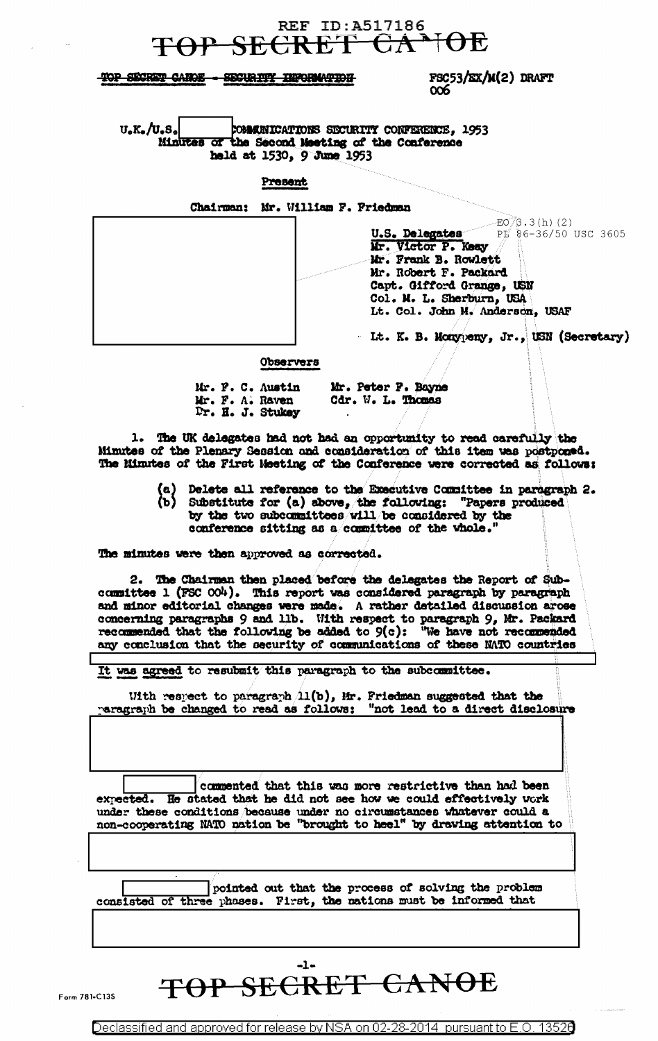## **REF ID:A517186** P SECRET CA

### TOP SECRET CANOE - SECURITY INFORMATION

 $FSC53/EX/M(2)$  DRAFT 006

 $U_oK_o/U_oS_o$ COMMINICATIONS SECURITY CONFERENCE, 1953 Minutes of the Second Meeting of the Conference held at 1530, 9 June 1953

#### Present

Chairman: Mr. William F. Friedman  $-EO/3.3(h)$  (2) U.S. Delegates  $PI_{6}$  86-36/50 USC 3605 Mr. Victor P. Keay Mr. Frank B. Rowlett Mr. Robert F. Packard Capt. Gifford Grange, USN Col. M. L. Sherburn, USA Lt. Col. John M. Anderson, USAF Lt. K. B. Monypeny, Jr., USN (Secretary)

#### Observers

| Mr. F. C. Austin | Mr. Peter F. Bayne |
|------------------|--------------------|
| Mr. F. A. Raven  | Cdr. W. L. Thomas  |
| Fr. H. J. Stukey |                    |

1. The UK delegates had not had an opportunity to read carefully the Minutes of the Plenary Session and consideration of this item was postponed. The Minutes of the First Meeting of the Conference were corrected as follows:

- 
- (a) Delete all reference to the Executive Committee in paragraph 2.<br>(b) Substitute for (a) above, the following: "Papers produced by the two subcommittees will be considered by the conference sitting as a committee of the whole.

The minutes were then approved as corrected.

2. The Chairman then placed before the delegates the Report of Subcommittee 1 (FSC OO4). This report was considered paragraph by paragraph and minor editorial changes were made. A rather detailed discussion arose concerning paragraphs 9 and 11b. With respect to paragraph 9, Mr. Packard recommended that the following be added to  $9(c)$ : "We have not recommended any conclusion that the security of communications of these NATO countries

It was agreed to resubmit this paragraph to the subcommittee.

With respect to paragraph  $(11(b))$ , Mr. Friedman suggested that the paragraph be changed to read as follows: "not lead to a direct disclosure

commented that this was more restrictive than had been expected. He stated that he did not see how we could effectively vork under these conditions because under no circumstances whatever could a non-cooperating NATO nation be "brought to heel" by drawing attention to

pointed out that the process of solving the problem consisted of three phases. First, the nations must be informed that

# -1-TOP SECRET CANOE

Declassified and approved for release by NSA on 02-28-2014 pursuant to E.O. 13526